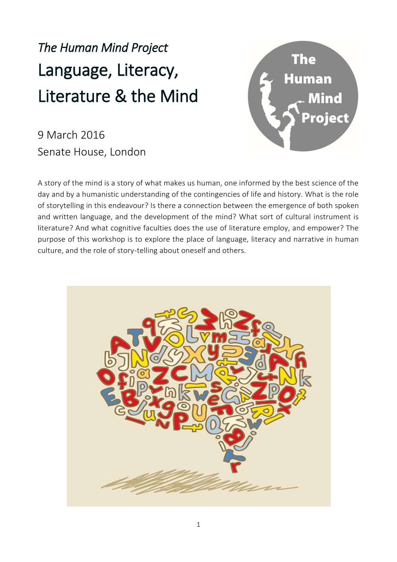# *The Human Mind Project* Language, Literacy, Literature & the Mind



9 March 2016 Senate House, London

A story of the mind is a story of what makes us human, one informed by the best science of the day and by a humanistic understanding of the contingencies of life and history. What is the role of storytelling in this endeavour? Is there a connection between the emergence of both spoken and written language, and the development of the mind? What sort of cultural instrument is literature? And what cognitive faculties does the use of literature employ, and empower? The purpose of this workshop is to explore the place of language, literacy and narrative in human culture, and the role of story-telling about oneself and others.

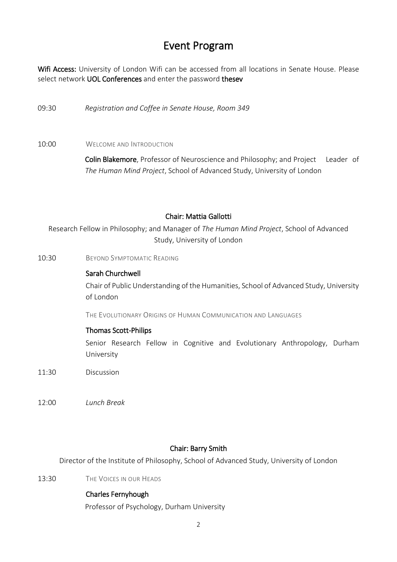# Event Program

Wifi Access: University of London Wifi can be accessed from all locations in Senate House. Please select network UOL Conferences and enter the password thesev

09:30 *Registration and Coffee in Senate House, Room 349*

10:00 WELCOME AND INTRODUCTION

Colin Blakemore, Professor of Neuroscience and Philosophy; and Project Leader of *The Human Mind Project*, School of Advanced Study, University of London

#### Chair: Mattia Gallotti

Research Fellow in Philosophy; and Manager of *The Human Mind Project*, School of Advanced Study, University of London

10:30 BEYOND SYMPTOMATIC READING

#### Sarah Churchwell

Chair of Public Understanding of the Humanities, School of Advanced Study, University of London

THE EVOLUTIONARY ORIGINS OF HUMAN COMMUNICATION AND LANGUAGES

#### Thomas Scott-Philips

Senior Research Fellow in Cognitive and Evolutionary Anthropology, Durham University

11:30 Discussion

12:00 *Lunch Break*

#### Chair: Barry Smith

Director of the Institute of Philosophy, School of Advanced Study, University of London

13:30 THE VOICES IN OUR HEADS

#### Charles Fernyhough

Professor of Psychology, Durham University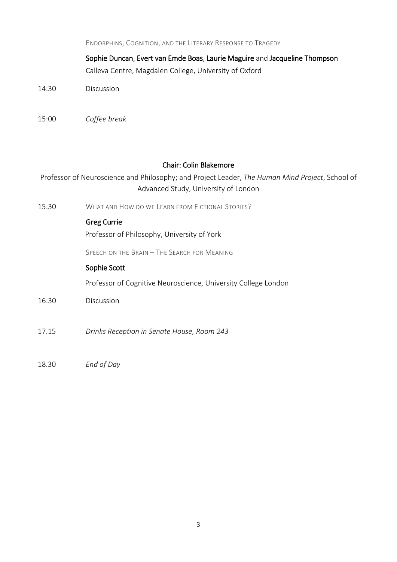|       | ENDORPHINS, COGNITION, AND THE LITERARY RESPONSE TO TRAGEDY                                                                          |
|-------|--------------------------------------------------------------------------------------------------------------------------------------|
|       | Sophie Duncan, Evert van Emde Boas, Laurie Maguire and Jacqueline Thompson<br>Calleva Centre, Magdalen College, University of Oxford |
| 14:30 | Discussion                                                                                                                           |
| 15:00 | Coffee break                                                                                                                         |

## Chair: Colin Blakemore

Professor of Neuroscience and Philosophy; and Project Leader, *The Human Mind Project*, School of Advanced Study, University of London

15:30 WHAT AND HOW DO WE LEARN FROM FICTIONAL STORIES?

## Greg Currie

Professor of Philosophy, University of York

SPEECH ON THE BRAIN – THE SEARCH FOR MEANING

#### Sophie Scott

Professor of Cognitive Neuroscience, University College London

- 16:30 Discussion
- 17.15 *Drinks Reception in Senate House, Room 243*
- 18.30 *End of Day*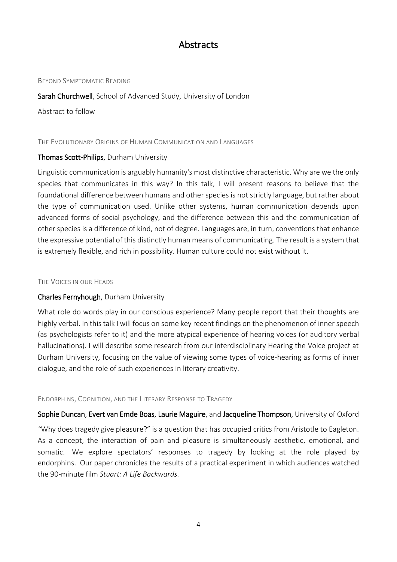# **Abstracts**

#### BEYOND SYMPTOMATIC READING

#### Sarah Churchwell, School of Advanced Study, University of London

Abstract to follow

#### THE EVOLUTIONARY ORIGINS OF HUMAN COMMUNICATION AND LANGUAGES

#### Thomas Scott-Philips, Durham University

Linguistic communication is arguably humanity's most distinctive characteristic. Why are we the only species that communicates in this way? In this talk, I will present reasons to believe that the foundational difference between humans and other species is not strictly language, but rather about the type of communication used. Unlike other systems, human communication depends upon advanced forms of social psychology, and the difference between this and the communication of other species is a difference of kind, not of degree. Languages are, in turn, conventions that enhance the expressive potential of this distinctly human means of communicating. The result is a system that is extremely flexible, and rich in possibility. Human culture could not exist without it.

#### THE VOICES IN OUR HEADS

## Charles Fernyhough, Durham University

What role do words play in our conscious experience? Many people report that their thoughts are highly verbal. In this talk I will focus on some key recent findings on the phenomenon of inner speech (as psychologists refer to it) and the more atypical experience of hearing voices (or auditory verbal hallucinations). I will describe some research from our interdisciplinary Hearing the Voice project at Durham University, focusing on the value of viewing some types of voice-hearing as forms of inner dialogue, and the role of such experiences in literary creativity.

#### ENDORPHINS, COGNITION, AND THE LITERARY RESPONSE TO TRAGEDY

Sophie Duncan, Evert van Emde Boas, Laurie Maguire, and Jacqueline Thompson, University of Oxford

*"*Why does tragedy give pleasure?" is a question that has occupied critics from Aristotle to Eagleton. As a concept, the interaction of pain and pleasure is simultaneously aesthetic, emotional, and somatic. We explore spectators' responses to tragedy by looking at the role played by endorphins. Our paper chronicles the results of a practical experiment in which audiences watched the 90-minute film *Stuart: A Life Backwards.*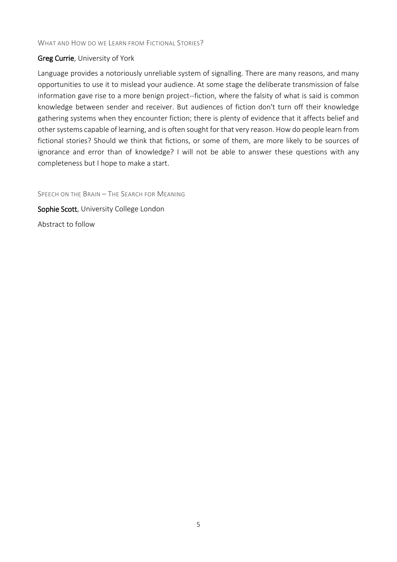## Greg Currie, University of York

Language provides a notoriously unreliable system of signalling. There are many reasons, and many opportunities to use it to mislead your audience. At some stage the deliberate transmission of false information gave rise to a more benign project--fiction, where the falsity of what is said is common knowledge between sender and receiver. But audiences of fiction don't turn off their knowledge gathering systems when they encounter fiction; there is plenty of evidence that it affects belief and other systems capable of learning, and is often sought for that very reason. How do people learn from fictional stories? Should we think that fictions, or some of them, are more likely to be sources of ignorance and error than of knowledge? I will not be able to answer these questions with any completeness but I hope to make a start.

SPEECH ON THE BRAIN – THE SEARCH FOR MEANING Sophie Scott, University College London Abstract to follow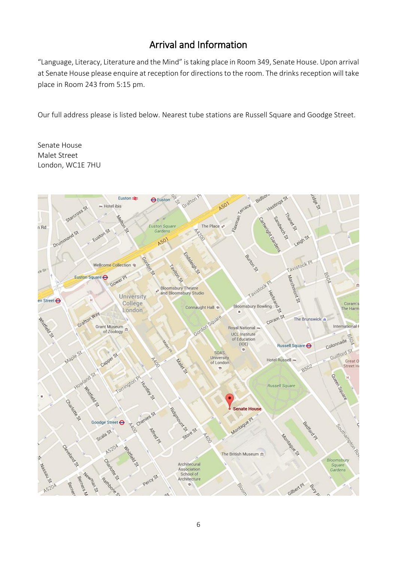# Arrival and Information

"Language, Literacy, Literature and the Mind" is taking place in Room 349, Senate House. Upon arrival at Senate House please enquire at reception for directions to the room. The drinks reception will take place in Room 243 from 5:15 pm.

Our full address please is listed below. Nearest tube stations are Russell Square and Goodge Street.

Senate House Malet Street London, WC1E 7HU

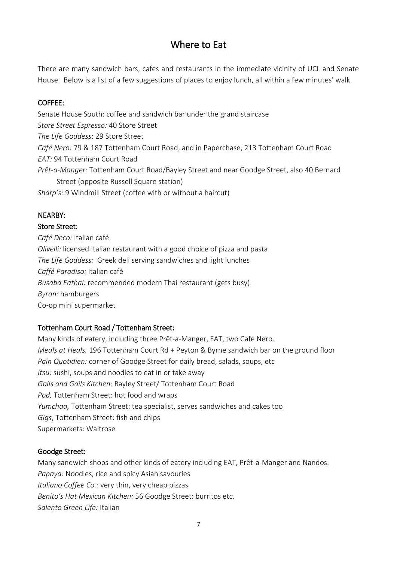# Where to Eat

There are many sandwich bars, cafes and restaurants in the immediate vicinity of UCL and Senate House. Below is a list of a few suggestions of places to enjoy lunch, all within a few minutes' walk.

## COFFEE:

Senate House South: coffee and sandwich bar under the grand staircase *Store Street Espresso:* 40 Store Street *The Life Goddess*: 29 Store Street *Café Nero:* 79 & 187 Tottenham Court Road, and in Paperchase, 213 Tottenham Court Road *EAT:* 94 Tottenham Court Road *Prêt-a-Manger:* Tottenham Court Road/Bayley Street and near Goodge Street, also 40 Bernard Street (opposite Russell Square station) *Sharp's:* 9 Windmill Street (coffee with or without a haircut)

# NEARBY:

## Store Street:

*Café Deco:* Italian café *Olivelli:* licensed Italian restaurant with a good choice of pizza and pasta *The Life Goddess:* Greek deli serving sandwiches and light lunches *Caffé Paradiso:* Italian café *Busaba Eathai:* recommended modern Thai restaurant (gets busy) *Byron:* hamburgers Co-op mini supermarket

# Tottenham Court Road / Tottenham Street:

Many kinds of eatery, including three Prêt-a-Manger, EAT, two Café Nero. *Meals at Heals,* 196 Tottenham Court Rd + Peyton & Byrne sandwich bar on the ground floor *Pain Quotidien:* corner of Goodge Street for daily bread, salads, soups, etc *Itsu:* sushi, soups and noodles to eat in or take away *Gails and Gails Kitchen:* Bayley Street/ Tottenham Court Road *Pod,* Tottenham Street: hot food and wraps *Yumchaa,* Tottenham Street: tea specialist, serves sandwiches and cakes too *Gigs*, Tottenham Street: fish and chips Supermarkets: Waitrose

# Goodge Street:

Many sandwich shops and other kinds of eatery including EAT, Prêt-a-Manger and Nandos. *Papaya:* Noodles, rice and spicy Asian savouries *Italiano Coffee Co.:* very thin, very cheap pizzas *Benito's Hat Mexican Kitchen:* 56 Goodge Street: burritos etc. *Salento Green Life:* Italian